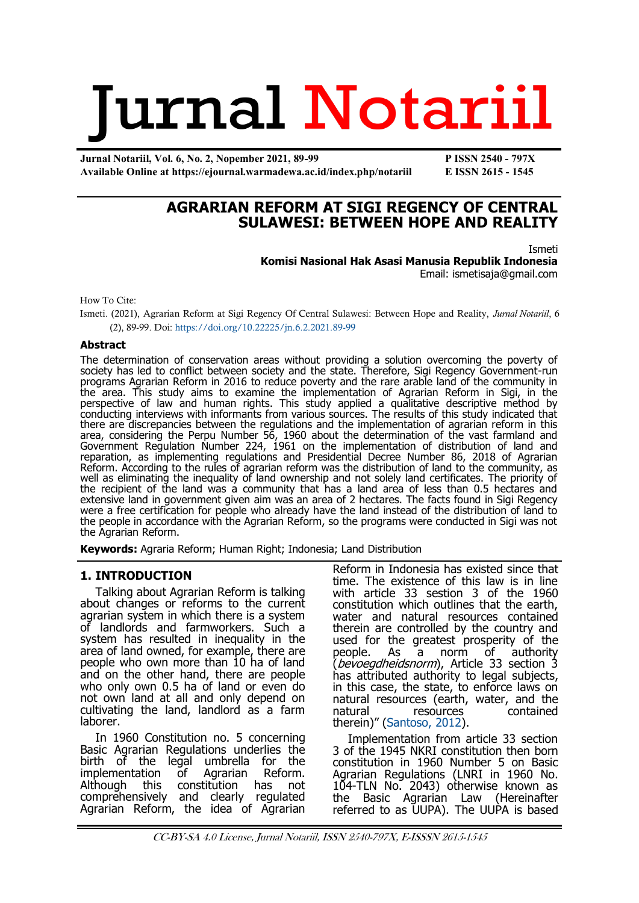# Jurnal Notariil

**Jurnal Notariil, Vol. 6, No. 2, Nopember 2021, 89-99 P ISSN 2540 - 797X Available Online at https://ejournal.warmadewa.ac.id/index.php/notariil E ISSN 2615 - 1545**

# **AGRARIAN REFORM AT SIGI REGENCY OF CENTRAL SULAWESI: BETWEEN HOPE AND REALITY**

Ismeti

**Komisi Nasional Hak Asasi Manusia Republik Indonesia** Email: [ismetisaja@gmail.com](mailto:ismetisaja@gmail.com)

How To Cite:

Ismeti. (2021), Agrarian Reform at Sigi Regency Of Central Sulawesi: Between Hope and Reality, *Jurnal Notariil*, 6 (2), 89-99. Doi:<https://doi.org/10.22225/jn.6.2.2021.89-99>

#### **Abstract**

The determination of conservation areas without providing a solution overcoming the poverty of society has led to conflict between society and the state. Therefore, Sigi Regency Government-run programs Agrarian Reform in 2016 to reduce poverty and the rare arable land of the community in the area. This study aims to examine the implementation of Agrarian Reform in Sigi, in the perspective of law and human rights. This study applied a qualitative descriptive method by conducting interviews with informants from various sources. The results of this study indicated that there are discrepancies between the regulations and the implementation of agrarian reform in this area, considering the Perpu Number 56, 1960 about the determination of the vast farmland and Government Regulation Number 224, 1961 on the implementation of distribution of land and reparation, as implementing regulations and Presidential Decree Number 86, 2018 of Agrarian Reform. According to the rules of agrarian reform was the distribution of land to the community, as well as eliminating the inequality of land ownership and not solely land certificates. The priority of the recipient of the land was a community that has a land area of less than 0.5 hectares and extensive land in government given aim was an area of 2 hectares. The facts found in Sigi Regency were a free certification for people who already have the land instead of the distribution of land to the people in accordance with the Agrarian Reform, so the programs were conducted in Sigi was not the Agrarian Reform.

**Keywords:** Agraria Reform; Human Right; Indonesia; Land Distribution

#### **1. INTRODUCTION**

Talking about Agrarian Reform is talking about changes or reforms to the current agrarian system in which there is a system of landlords and farmworkers. Such a system has resulted in inequality in the area of land owned, for example, there are people who own more than 10 ha of land and on the other hand, there are people who only own 0.5 ha of land or even do not own land at all and only depend on cultivating the land, landlord as a farm laborer.

In 1960 Constitution no. 5 concerning Basic Agrarian Regulations underlies the<br>birth of the legal umbrella for the birth of the legal implementation of Agrarian Reform. Although this constitution has not comprehensively and clearly regulated Agrarian Reform, the idea of Agrarian Reform in Indonesia has existed since that time. The existence of this law is in line with article 33 sestion 3 of the 1960 constitution which outlines that the earth, water and natural resources contained therein are controlled by the country and used for the greatest prosperity of the people. As a norm of authority (*bevoegdheidsnorm*), Article 33 section 3 has attributed authority to legal subjects, in this case, the state, to enforce laws on natural resources (earth, water, and the resources therein)" ([Santoso, 2012\)](#page-10-0).

Implementation from article 33 section 3 of the 1945 NKRI constitution then born constitution in 1960 Number 5 on Basic Agrarian Regulations (LNRI in 1960 No. 104-TLN No. 2043) otherwise known as the Basic Agrarian Law (Hereinafter referred to as UUPA). The UUPA is based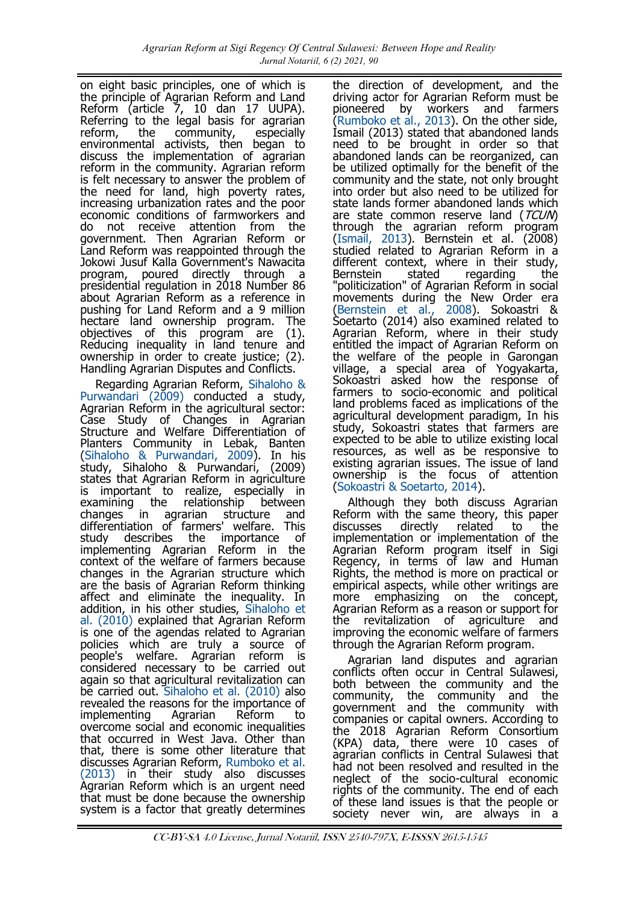on eight basic principles, one of which is the principle of Agrarian Reform and Land Reform (article 7, 10 dan 17 UUPA). Referring to the legal basis for agrarian<br>reform. the community, especially the community, especially environmental activists, then began to discuss the implementation of agrarian reform in the community. Agrarian reform is felt necessary to answer the problem of the need for land, high poverty rates, increasing urbanization rates and the poor economic conditions of farmworkers and do not receive attention from the government. Then Agrarian Reform or Land Reform was reappointed through the Jokowi Jusuf Kalla Government's Nawacita program, poured directly through a presidential regulation in 2018 Number 86 about Agrarian Reform as a reference in pushing for Land Reform and a 9 million hectare land ownership program. The objectives of this program are (1). Reducing inequality in land tenure and ownership in order to create justice; (2). Handling Agrarian Disputes and Conflicts.

Regarding Agrarian Reform, [Sihaloho &](#page-10-0)  [Purwandari \(2009\)](#page-10-0) conducted a study, Agrarian Reform in the agricultural sector: Case Study of Changes in Agrarian Structure and Welfare Differentiation of Planters Community in Lebak, Banten [\(Sihaloho & Purwandari, 2009\)](#page-10-0). In his study, Sihaloho & Purwandari, (2009) states that Agrarian Reform in agriculture is important to realize, especially in examining the relationship between changes in agrarian structure and differentiation of farmers' welfare. This study describes the importance of implementing Agrarian Reform in the context of the welfare of farmers because changes in the Agrarian structure which are the basis of Agrarian Reform thinking affect and eliminate the inequality. In addition, in his other studies, [Sihaloho et](#page-10-0)  [al. \(2010\)](#page-10-0) explained that Agrarian Reform is one of the agendas related to Agrarian policies which are truly a source of people's welfare. Agrarian reform is considered necessary to be carried out again so that agricultural revitalization can be carried out. [Sihaloho et al. \(2010\)](#page-10-0) also revealed the reasons for the importance of implementing Agrarian Reform overcome social and economic inequalities that occurred in West Java. Other than that, there is some other literature that discusses Agrarian Reform, [Rumboko et al.](#page-10-0)  [\(2013\)](#page-10-0) in their study also discusses Agrarian Reform which is an urgent need that must be done because the ownership system is a factor that greatly determines

the direction of development, and the driving actor for Agrarian Reform must be pioneered by workers and farmers [\(Rumboko et al., 2013\)](#page-10-0). On the other side, Ismail (2013) stated that abandoned lands need to be brought in order so that abandoned lands can be reorganized, can be utilized optimally for the benefit of the community and the state, not only brought into order but also need to be utilized for state lands former abandoned lands which are state common reserve land (TCUN) through the agrarian reform program [\(Ismail, 2013\).](#page-10-0) Bernstein et al. (2008) studied related to Agrarian Reform in a different context, where in their study,<br>Bernstein stated regarding the regarding "politicization" of Agrarian Reform in social movements during the New Order era [\(Bernstein et al., 2008\).](#page-10-0) Sokoastri & Soetarto (2014) also examined related to Agrarian Reform, where in their study entitled the impact of Agrarian Reform on the welfare of the people in Garongan village, a special area of Yogyakarta, Sokoastri asked how the response of farmers to socio-economic and political land problems faced as implications of the agricultural development paradigm, In his study, Sokoastri states that farmers are expected to be able to utilize existing local resources, as well as be responsive to existing agrarian issues. The issue of land ownership is the focus of attention [\(Sokoastri & Soetarto, 2014\)](#page-10-0).

Although they both discuss Agrarian Reform with the same theory, this paper discusses directly related to the implementation or implementation of the Agrarian Reform program itself in Sigi Regency, in terms of law and Human Rights, the method is more on practical or empirical aspects, while other writings are more emphasizing on the concept, Agrarian Reform as a reason or support for<br>the revitalization of agriculture and revitalization of agriculture and improving the economic welfare of farmers through the Agrarian Reform program.

Agrarian land disputes and agrarian conflicts often occur in Central Sulawesi, both between the community and the community, the community and the government and the community with companies or capital owners. According to the 2018 Agrarian Reform Consortium (KPA) data, there were 10 cases of agrarian conflicts in Central Sulawesi that had not been resolved and resulted in the neglect of the socio-cultural economic rights of the community. The end of each of these land issues is that the people or society never win, are always in a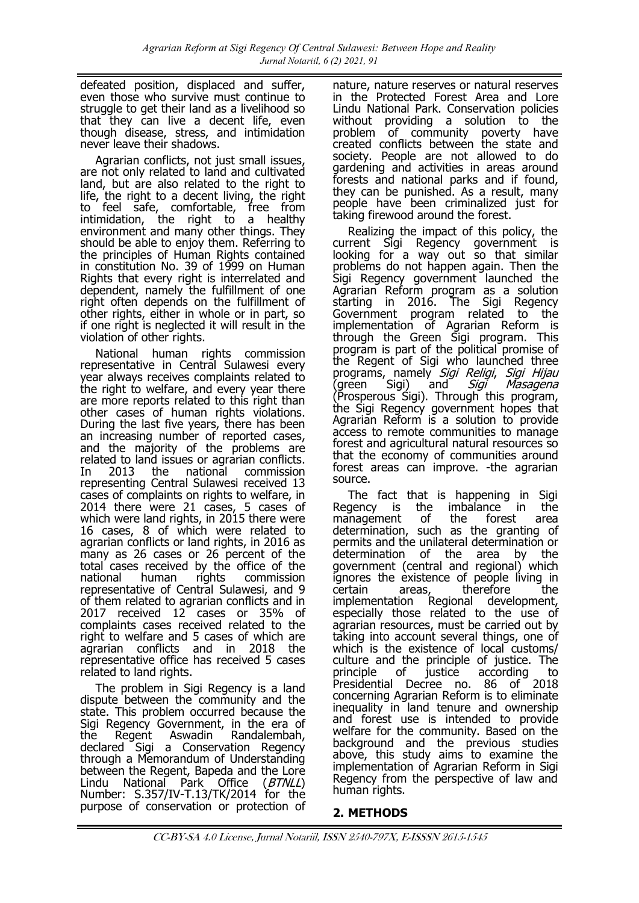defeated position, displaced and suffer, even those who survive must continue to struggle to get their land as a livelihood so that they can live a decent life, even though disease, stress, and intimidation never leave their shadows.

Agrarian conflicts, not just small issues, are not only related to land and cultivated land, but are also related to the right to life, the right to a decent living, the right to feel safe, comfortable, free from intimidation, the right to a healthy environment and many other things. They should be able to enjoy them. Referring to the principles of Human Rights contained in constitution No. 39 of 1999 on Human Rights that every right is interrelated and dependent, namely the fulfillment of one right often depends on the fulfillment of other rights, either in whole or in part, so if one right is neglected it will result in the violation of other rights.

National human rights commission representative in Central Sulawesi every year always receives complaints related to the right to welfare, and every year there are more reports related to this right than other cases of human rights violations. During the last five years, there has been an increasing number of reported cases, and the majority of the problems are related to land issues or agrarian conflicts. In 2013 the national commission representing Central Sulawesi received 13 cases of complaints on rights to welfare, in 2014 there were 21 cases, 5 cases of which were land rights, in 2015 there were 16 cases, 8 of which were related to agrarian conflicts or land rights, in 2016 as many as 26 cases or 26 percent of the total cases received by the office of the national human rights commission representative of Central Sulawesi, and 9 of them related to agrarian conflicts and in 2017 received 12<sup>-</sup> cases or 35% of complaints cases received related to the right to welfare and 5 cases of which are agrarian conflicts and in 2018 the representative office has received 5 cases related to land rights.

The problem in Sigi Regency is a land dispute between the community and the state. This problem occurred because the Sigi Regency Government, in the era of the Regent Aswadin Randalembah, declared Sigi a Conservation Regency through a Memorandum of Understanding between the Regent, Bapeda and the Lore Lindu National Park Office (*BTNLL*) Number: S.357/IV-T.13/TK/2014 for the purpose of conservation or protection of

nature, nature reserves or natural reserves in the Protected Forest Area and Lore Lindu National Park. Conservation policies without providing a solution to the problem of community poverty have created conflicts between the state and society. People are not allowed to do gardening and activities in areas around forests and national parks and if found, they can be punished. As a result, many people have been criminalized just for taking firewood around the forest.

Realizing the impact of this policy, the current Sigi Regency government is looking for a way out so that similar problems do not happen again. Then the Sigi Regency government launched the Agrarian Reform program as a solution starting in 2016. The Sigi Regency Government program related to the implementation of Agrarian Reform is through the Green Sigi program. This program is part of the political promise of the Regent of Sigi who launched three programs, namely *Sigi Religi, Sigi Hijau* (green Sigi) and Sigi Masagena (green Sigi) and *Sigi Masagena*<br>(Prosperous Sigi). Through this program, the Sigi Regency government hopes that Agrarian Reform is a solution to provide access to remote communities to manage forest and agricultural natural resources so that the economy of communities around forest areas can improve. - the agrarian source.

The fact that is happening in Sigi Regency is the imbalance in the management of the forest area determination, such as the granting of permits and the unilateral determination or determination of the area by the government (central and regional) which ignores the existence of people living in certain areas, therefore the implementation Regional development, especially those related to the use of agrarian resources, must be carried out by taking into account several things, one of which is the existence of local customs/ culture and the principle of justice. The principle of justice according to Presidential Decree no. 86 of 2018 concerning Agrarian Reform is to eliminate inequality in land tenure and ownership and forest use is intended to provide welfare for the community. Based on the background and the previous studies above, this study aims to examine the implementation of Agrarian Reform in Sigi Regency from the perspective of law and human rights.

# **2. METHODS**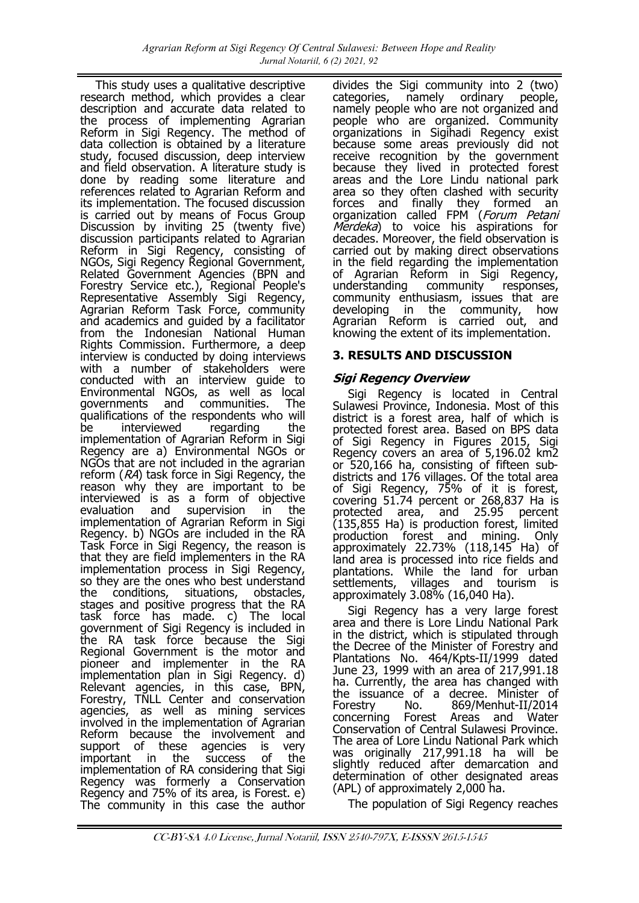This study uses a qualitative descriptive research method, which provides a clear description and accurate data related to the process of implementing Agrarian Reform in Sigi Regency. The method of data collection is obtained by a literature study, focused discussion, deep interview and field observation. A literature study is done by reading some literature and references related to Agrarian Reform and its implementation. The focused discussion is carried out by means of Focus Group Discussion by inviting 25 (twenty five) discussion participants related to Agrarian Reform in Sigi Regency, consisting of NGOs, Sigi Regency Regional Government, Related Government Agencies (BPN and Forestry Service etc.), Regional People's Representative Assembly Sigi Regency, Agrarian Reform Task Force, community and academics and guided by a facilitator from the Indonesian National Human Rights Commission. Furthermore, a deep interview is conducted by doing interviews with a number of stakeholders were conducted with an interview guide to Environmental NGOs, as well as local governments and communities. The qualifications of the respondents who will be interviewed regarding the implementation of Agrarian Reform in Sigi Regency are a) Environmental NGOs or NGOs that are not included in the agrarian reform (RA) task force in Sigi Regency, the reason why they are important to be interviewed is as a form of objective evaluation and supervision in the implementation of Agrarian Reform in Sigi Regency. b) NGOs are included in the RA Task Force in Sigi Regency, the reason is that they are field implementers in the RA implementation process in Sigi Regency, so they are the ones who best understand<br>the conditions, situations, obstacles, the conditions, situations, obstacles, stages and positive progress that the RA task force has made. c) The local government of Sigi Regency is included in the RA task force because the Sigi Regional Government is the motor and pioneer and implementer in the RA implementation plan in Sigi Regency. d) Relevant agencies, in this case, BPN, Forestry, TNLL Center and conservation agencies, as well as mining services involved in the implementation of Agrarian Reform because the involvement and support of these agencies is very important in the success of the implementation of RA considering that Sigi Regency was formerly a Conservation Regency and 75% of its area, is Forest. e) The community in this case the author

divides the Sigi community into 2 (two)<br>categories, namely ordinary people, categories, namely ordinary people, namely people who are not organized and people who are organized. Community organizations in Sigihadi Regency exist because some areas previously did not receive recognition by the government because they lived in protected forest areas and the Lore Lindu national park area so they often clashed with security forces and finally they formed an organization called FPM (Forum Petani Merdeka) to voice his aspirations for decades. Moreover, the field observation is carried out by making direct observations in the field regarding the implementation of Agrarian Reform in Sigi Regency, understanding community responses, community enthusiasm, issues that are<br>developing in the community, how developing in the community, Agrarian Reform is carried out, and knowing the extent of its implementation.

## **3. RESULTS AND DISCUSSION**

## **Sigi Regency Overview**

Sigi Regency is located in Central Sulawesi Province, Indonesia. Most of this district is a forest area, half of which is protected forest area. Based on BPS data of Sigi Regency in Figures 2015, Sigi Regency covers an area of 5,196.02 km2 or 520,166 ha, consisting of fifteen subdistricts and 176 villages. Of the total area of Sigi Regency, 75% of it is forest, covering 51.74 percent or 268,837 Ha is protected area, and 25.95 percent (135,855 Ha) is production forest, limited production forest and mining. Only approximately 22.73% (118,145 Ha) of land area is processed into rice fields and plantations. While the land for urban settlements, villages and tourism is approximately 3.08% (16,040 Ha).

Sigi Regency has a very large forest area and there is Lore Lindu National Park in the district, which is stipulated through the Decree of the Minister of Forestry and Plantations No. 464/Kpts-II/1999 dated June 23, 1999 with an area of 217,991.18 ha. Currently, the area has changed with the issuance of a decree. Minister of<br>Forestry No. 869/Menhut-II/2014 No. 869/Menhut-II/2014<br>Forest Areas and Water concerning Forest Areas and Conservation of Central Sulawesi Province. The area of Lore Lindu National Park which was originally 217,991.18 ha will be slightly reduced after demarcation and determination of other designated areas (APL) of approximately 2,000 ha.

The population of Sigi Regency reaches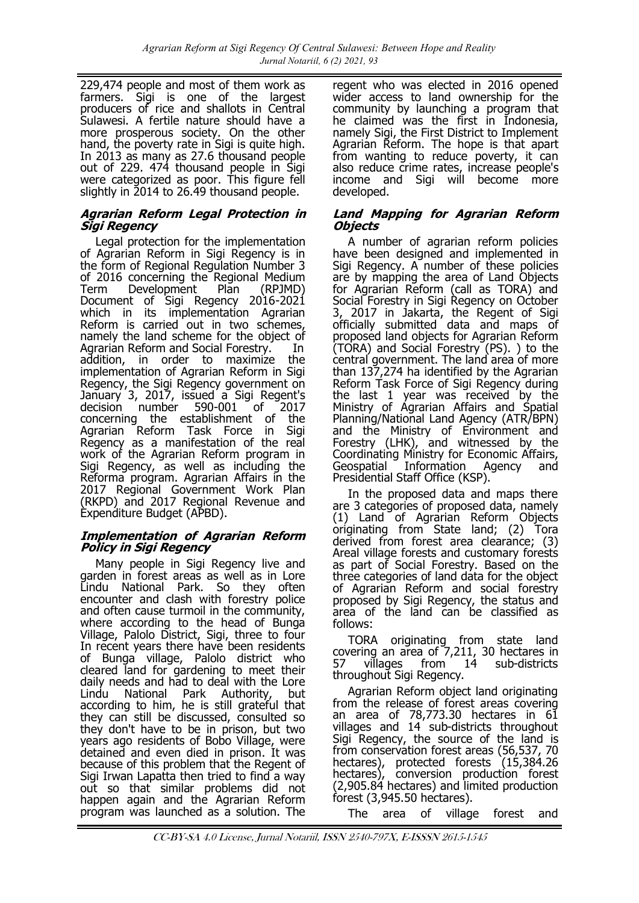229,474 people and most of them work as farmers. Sigi is one of the largest producers of rice and shallots in Central Sulawesi. A fertile nature should have a more prosperous society. On the other hand, the poverty rate in Sigi is quite high. In 2013 as many as 27.6 thousand people out of 229. 474 thousand people in Sigi were categorized as poor. This figure fell slightly in 2014 to 26.49 thousand people.

#### **Agrarian Reform Legal Protection in Sigi Regency**

Legal protection for the implementation of Agrarian Reform in Sigi Regency is in the form of Regional Regulation Number 3 of 2016 concerning the Regional Medium<br>Term Development Plan (RPJMD) Term Development Plan (RPJMD) Document of Sigi Regency 2016-2021 which in its implementation Agrarian Reform is carried out in two schemes, namely the land scheme for the object of Agrarian Reform and Social Forestry. In addition, in order to maximize the implementation of Agrarian Reform in Sigi Regency, the Sigi Regency government on January 3, 2017, issued a Sigi Regent's decision number 590-001 of 2017 concerning the establishment of the Agrarian Reform Task Force in Sigi Regency as a manifestation of the real work of the Agrarian Reform program in Sigi Regency, as well as including the Reforma program. Agrarian Affairs in the 2017 Regional Government Work Plan (RKPD) and 2017 Regional Revenue and Expenditure Budget (APBD).

#### **Implementation of Agrarian Reform Policy in Sigi Regency**

Many people in Sigi Regency live and garden in forest areas as well as in Lore Lindu National Park. So they often encounter and clash with forestry police and often cause turmoil in the community, where according to the head of Bunga Village, Palolo District, Sigi, three to four In recent years there have been residents of Bunga village, Palolo district who cleared land for gardening to meet their daily needs and had to deal with the Lore Lindu National Park Authority, but according to him, he is still grateful that they can still be discussed, consulted so they don't have to be in prison, but two years ago residents of Bobo Village, were detained and even died in prison. It was because of this problem that the Regent of Sigi Irwan Lapatta then tried to find a way out so that similar problems did not happen again and the Agrarian Reform program was launched as a solution. The

regent who was elected in 2016 opened wider access to land ownership for the community by launching a program that he claimed was the first in Indonesia, namely Sigi, the First District to Implement Agrarian Reform. The hope is that apart from wanting to reduce poverty, it can also reduce crime rates, increase people's income and Sigi will become more developed.

#### **Land Mapping for Agrarian Reform Objects**

A number of agrarian reform policies have been designed and implemented in Sigi Regency. A number of these policies are by mapping the area of Land Objects for Agrarian Reform (call as TORA) and Social Forestry in Sigi Regency on October 3, 2017 in Jakarta, the Regent of Sigi officially submitted data and maps of proposed land objects for Agrarian Reform (TORA) and Social Forestry (PS). ) to the central government. The land area of more than 137,274 ha identified by the Agrarian Reform Task Force of Sigi Regency during the last 1 year was received by the Ministry of Agrarian Affairs and Spatial Planning/National Land Agency (ATR/BPN) and the Ministry of Environment and Forestry (LHK), and witnessed by the Coordinating Ministry for Economic Affairs, Geospatial Information Agency and Presidential Staff Office (KSP).

In the proposed data and maps there are 3 categories of proposed data, namely (1) Land of Agrarian Reform Objects originating from State land; (2) Tora derived from forest area clearance; (3) Areal village forests and customary forests as part of Social Forestry. Based on the three categories of land data for the object of Agrarian Reform and social forestry proposed by Sigi Regency, the status and area of the land can be classified as follows:

TORA originating from state land covering an area of 7,211, 30 hectares in 57 villages from 14 sub-districts throughout Sigi Regency.

Agrarian Reform object land originating from the release of forest areas covering an area of 78,773.30 hectares in 61 villages and 14 sub-districts throughout Sigi Regency, the source of the land is from conservation forest areas (56,537, 70 hectares), protected forests (15,384.26 hectares), conversion production forest (2,905.84 hectares) and limited production forest (3,945.50 hectares).

The area of village forest and

CC-BY-SA 4.0 License, Jurnal Notariil, ISSN 2540-797X, E-ISSSN 2615-1545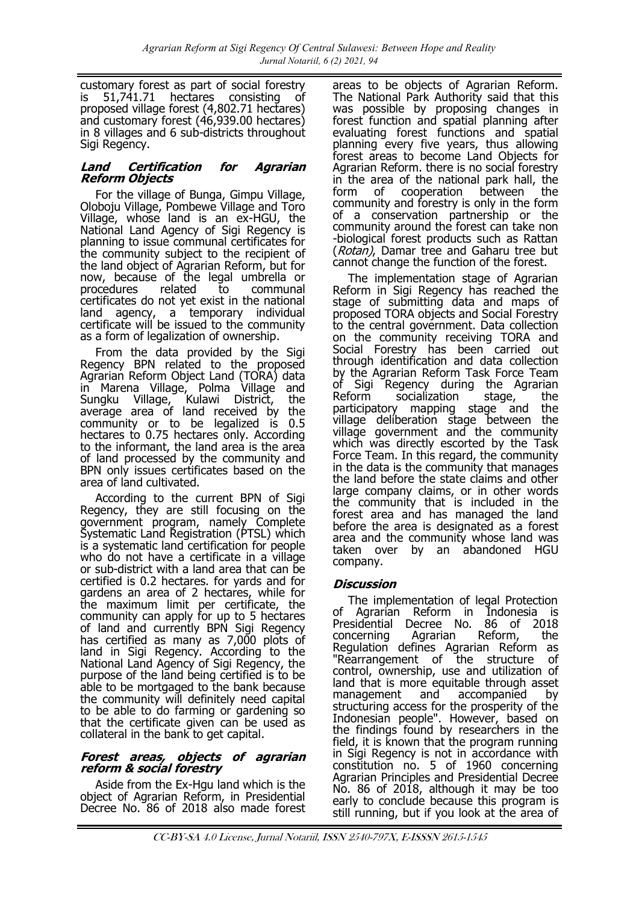customary forest as part of social forestry<br>is 51,741.71 hectares consisting of is 51,741.71 hectares consisting of proposed village forest (4,802.71 hectares) and customary forest (46,939.00 hectares) in 8 villages and 6 sub-districts throughout Sigi Regency.

#### **Land Certification for Agrarian Reform Objects**

For the village of Bunga, Gimpu Village, Oloboju Village, Pombewe Village and Toro Village, whose land is an ex-HGU, the National Land Agency of Sigi Regency is planning to issue communal certificates for the community subject to the recipient of the land object of Agrarian Reform, but for now, because of the legal umbrella or procedures related to communal certificates do not yet exist in the national land agency, a temporary individual certificate will be issued to the community as a form of legalization of ownership.

From the data provided by the Sigi Regency BPN related to the proposed Agrarian Reform Object Land (TORA) data in Marena Village, Polma Village and Sungku Village, Kulawi District, the average area of land received by the community or to be legalized is 0.5 hectares to 0.75 hectares only. According to the informant, the land area is the area of land processed by the community and BPN only issues certificates based on the area of land cultivated.

According to the current BPN of Sigi Regency, they are still focusing on the government program, namely Complete Systematic Land Registration (PTSL) which is a systematic land certification for people who do not have a certificate in a village or sub-district with a land area that can be certified is 0.2 hectares. for yards and for gardens an area of 2 hectares, while for the maximum limit per certificate, the community can apply for up to 5 hectares of land and currently BPN Sigi Regency has certified as many as 7,000 plots of land in Sigi Regency. According to the National Land Agency of Sigi Regency, the purpose of the land being certified is to be able to be mortgaged to the bank because the community will definitely need capital to be able to do farming or gardening so that the certificate given can be used as collateral in the bank to get capital.

#### **Forest areas, objects of agrarian reform & social forestry**

Aside from the Ex-Hgu land which is the object of Agrarian Reform, in Presidential Decree No. 86 of 2018 also made forest

areas to be objects of Agrarian Reform. The National Park Authority said that this was possible by proposing changes in forest function and spatial planning after evaluating forest functions and spatial planning every five years, thus allowing forest areas to become Land Objects for Agrarian Reform. there is no social forestry in the area of the national park hall, the form of cooperation between the community and forestry is only in the form of a conservation partnership or the community around the forest can take non -biological forest products such as Rattan (Rotan), Damar tree and Gaharu tree but cannot change the function of the forest.

The implementation stage of Agrarian Reform in Sigi Regency has reached the stage of submitting data and maps of proposed TORA objects and Social Forestry to the central government. Data collection on the community receiving TORA and Social Forestry has been carried out through identification and data collection by the Agrarian Reform Task Force Team of Sigi Regency during the Agrarian Reform socialization stage, the participatory mapping stage and the village deliberation stage between the village government and the community which was directly escorted by the Task Force Team. In this regard, the community in the data is the community that manages the land before the state claims and other large company claims, or in other words the community that is included in the forest area and has managed the land before the area is designated as a forest area and the community whose land was taken over by an abandoned HGU company.

# **Discussion**

The implementation of legal Protection of Agrarian Reform in Indonesia is Presidential Decree No. 86 of 2018 concerning Agrarian Reform, the Regulation defines Agrarian Reform as "Rearrangement of the structure of control, ownership, use and utilization of land that is more equitable through asset management and accompanied by structuring access for the prosperity of the Indonesian people". However, based on the findings found by researchers in the field, it is known that the program running in Sigi Regency is not in accordance with constitution no. 5 of 1960 concerning Agrarian Principles and Presidential Decree No. 86 of 2018, although it may be too early to conclude because this program is still running, but if you look at the area of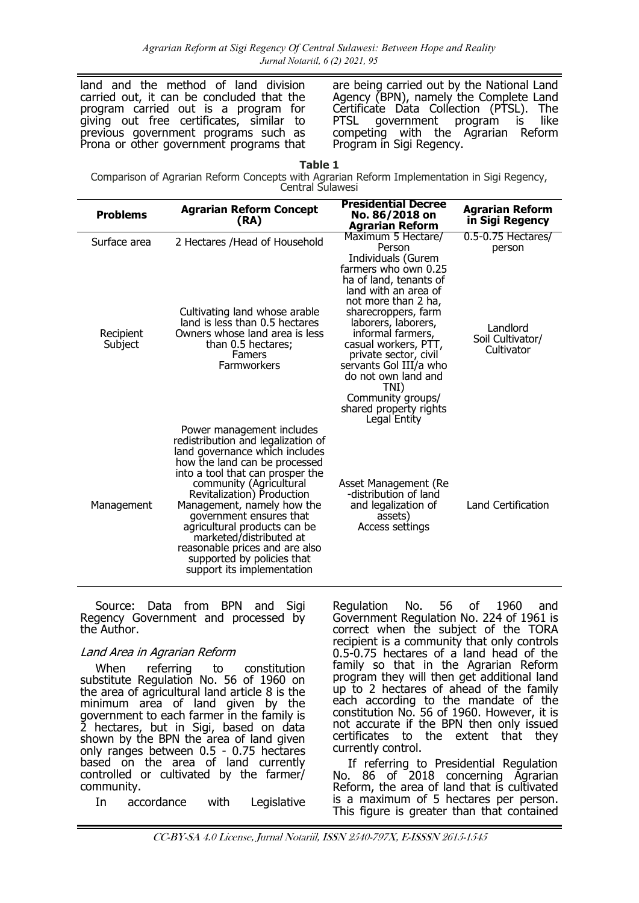land and the method of land division carried out, it can be concluded that the program carried out is a program for giving out free certificates, similar to previous government programs such as Prona or other government programs that are being carried out by the National Land Agency (BPN), namely the Complete Land Certificate Data Collection (PTSL). The PTSL government program is like competing with the Agrarian Reform Program in Sigi Regency.

Comparison of Agrarian Reform Concepts with Agrarian Reform Implementation in Sigi Regency, Central Sulawesi

| <b>Problems</b>                      | <b>Agrarian Reform Concept</b><br>(RA)                                                                                                                                                                                                                                                                                                                                                                                                            | <b>Presidential Decree</b><br>No. 86/2018 on<br><b>Agrarian Reform</b>                                                                                                                                                                                                                                                           | <b>Agrarian Reform</b><br>in Sigi Regency                                  |
|--------------------------------------|---------------------------------------------------------------------------------------------------------------------------------------------------------------------------------------------------------------------------------------------------------------------------------------------------------------------------------------------------------------------------------------------------------------------------------------------------|----------------------------------------------------------------------------------------------------------------------------------------------------------------------------------------------------------------------------------------------------------------------------------------------------------------------------------|----------------------------------------------------------------------------|
| Surface area<br>Recipient<br>Subject | 2 Hectares / Head of Household<br>Cultivating land whose arable<br>land is less than 0.5 hectares<br>Owners whose land area is less<br>than 0.5 hectares;<br>Famers<br>Farmworkers                                                                                                                                                                                                                                                                | Maximum 5 Hectare/<br>Person<br>Individuals (Gurem<br>farmers who own 0.25<br>ha of land, tenants of<br>land with an area of<br>not more than 2 ha,<br>sharecroppers, farm<br>laborers, laborers,<br>informal farmers,<br>casual workers, PTT,<br>private sector, civil<br>servants Gol III/a who<br>do not own land and<br>TNI) | 0.5-0.75 Hectares/<br>person<br>Landlord<br>Soil Cultivator/<br>Cultivator |
| Management                           | Power management includes<br>redistribution and legalization of<br>land governance which includes<br>how the land can be processed<br>into a tool that can prosper the<br>community (Agricultural<br>Revitalization) Production<br>Management, namely how the<br>government ensures that<br>agricultural products can be<br>marketed/distributed at<br>reasonable prices and are also<br>supported by policies that<br>support its implementation | Community groups/<br>shared property rights<br>Legal Entity<br>Asset Management (Re<br>-distribution of land<br>and legalization of<br>assets)<br>Access settings                                                                                                                                                                | Land Certification                                                         |

Source: Data from BPN and Sigi Regency Government and processed by the Author.

#### Land Area in Agrarian Reform

When referring to constitution substitute Regulation No. 56 of 1960 on the area of agricultural land article 8 is the minimum area of land given by the government to each farmer in the family is 2 hectares, but in Sigi, based on data shown by the BPN the area of land given only ranges between 0.5 - 0.75 hectares based on the area of land currently controlled or cultivated by the farmer/ community.

In accordance with Legislative

Regulation No. 56 of 1960 and Government Regulation No. 224 of 1961 is correct when the subject of the TORA recipient is a community that only controls 0.5-0.75 hectares of a land head of the family so that in the Agrarian Reform program they will then get additional land up to 2 hectares of ahead of the family each according to the mandate of the constitution No. 56 of 1960. However, it is not accurate if the BPN then only issued certificates to the extent that they currently control.

If referring to Presidential Regulation No. 86 of 2018 concerning Agrarian Reform, the area of land that is cultivated is a maximum of 5 hectares per person. This figure is greater than that contained

CC-BY-SA 4.0 License, Jurnal Notariil, ISSN 2540-797X, E-ISSSN 2615-1545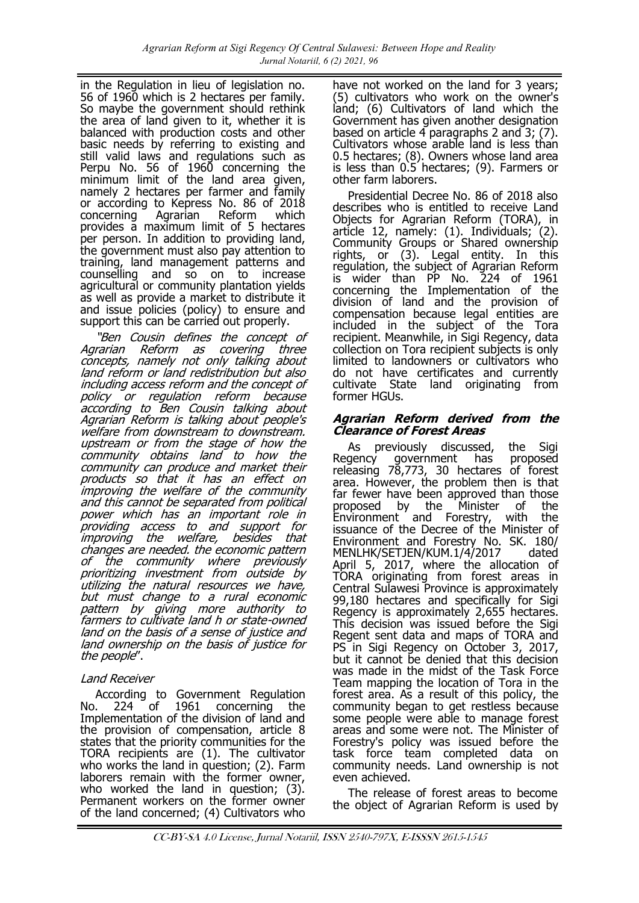in the Regulation in lieu of legislation no. 56 of 1960 which is 2 hectares per family. So maybe the government should rethink the area of land given to it, whether it is balanced with production costs and other basic needs by referring to existing and still valid laws and regulations such as Perpu No. 56 of 1960 concerning the minimum limit of the land area given, namely 2 hectares per farmer and family or according to Kepress No. 86 of 2018<br>concerning Agrarian Reform which concerning Agrarian Reform which provides a maximum limit of 5 hectares per person. In addition to providing land, the government must also pay attention to training, land management patterns and counselling and so on to increase agricultural or community plantation yields as well as provide a market to distribute it and issue policies (policy) to ensure and support this can be carried out properly.

"Ben Cousin defines the concept of Agrarian Reform as covering three concepts, namely not only talking about land reform or land redistribution but also including access reform and the concept of policy or regulation reform because according to Ben Cousin talking about Agrarian Reform is talking about people's welfare from downstream to downstream. upstream or from the stage of how the community obtains land to how the community can produce and market their products so that it has an effect on improving the welfare of the community and this cannot be separated from political power which has an important role in providing access to and support for improving the welfare, besides that changes are needed. the economic pattern of the community where previously prioritizing investment from outside by utilizing the natural resources we have, but must change to a rural economic pattern by giving more authority to farmers to cultivate land h or state-owned land on the basis of a sense of justice and land ownership on the basis of justice for the people".

#### Land Receiver

According to Government Regulation No. 224 of 1961 concerning the Implementation of the division of land and the provision of compensation, article 8 states that the priority communities for the TORA recipients are (1). The cultivator who works the land in question; (2). Farm laborers remain with the former owner, who worked the land in question; (3). Permanent workers on the former owner of the land concerned; (4) Cultivators who

have not worked on the land for 3 years; (5) cultivators who work on the owner's land; (6) Cultivators of land which the Government has given another designation based on article 4 paragraphs 2 and 3; (7). Cultivators whose arable land is less than 0.5 hectares; (8). Owners whose land area is less than 0.5 hectares; (9). Farmers or other farm laborers.

Presidential Decree No. 86 of 2018 also describes who is entitled to receive Land Objects for Agrarian Reform (TORA), in article 12, namely: (1). Individuals; (2). Community Groups or Shared ownership rights, or (3). Legal entity. In this regulation, the subject of Agrarian Reform is wider than PP No. 224 of 1961 concerning the Implementation of the division of land and the provision of compensation because legal entities are included in the subject of the Tora recipient. Meanwhile, in Sigi Regency, data collection on Tora recipient subjects is only limited to landowners or cultivators who do not have certificates and currently cultivate State land originating from former HGUs.

#### **Agrarian Reform derived from the Clearance of Forest Areas**

As previously discussed, the Sigi Regency government has proposed releasing 78,773, 30 hectares of forest area. However, the problem then is that far fewer have been approved than those proposed by the Minister of the Environment and Forestry, with the issuance of the Decree of the Minister of Environment and Forestry No. SK. 180/ MENLHK/SETJEN/KUM.1/4/2017 dated April 5, 2017, where the allocation of TORA originating from forest areas in Central Sulawesi Province is approximately 99,180 hectares and specifically for Sigi Regency is approximately 2,655 hectares. This decision was issued before the Sigi Regent sent data and maps of TORA and PS in Sigi Regency on October 3, 2017, but it cannot be denied that this decision was made in the midst of the Task Force Team mapping the location of Tora in the forest area. As a result of this policy, the community began to get restless because some people were able to manage forest areas and some were not. The Minister of Forestry's policy was issued before the task force team completed data on community needs. Land ownership is not even achieved.

The release of forest areas to become the object of Agrarian Reform is used by

CC-BY-SA 4.0 License, Jurnal Notariil, ISSN 2540-797X, E-ISSSN 2615-1545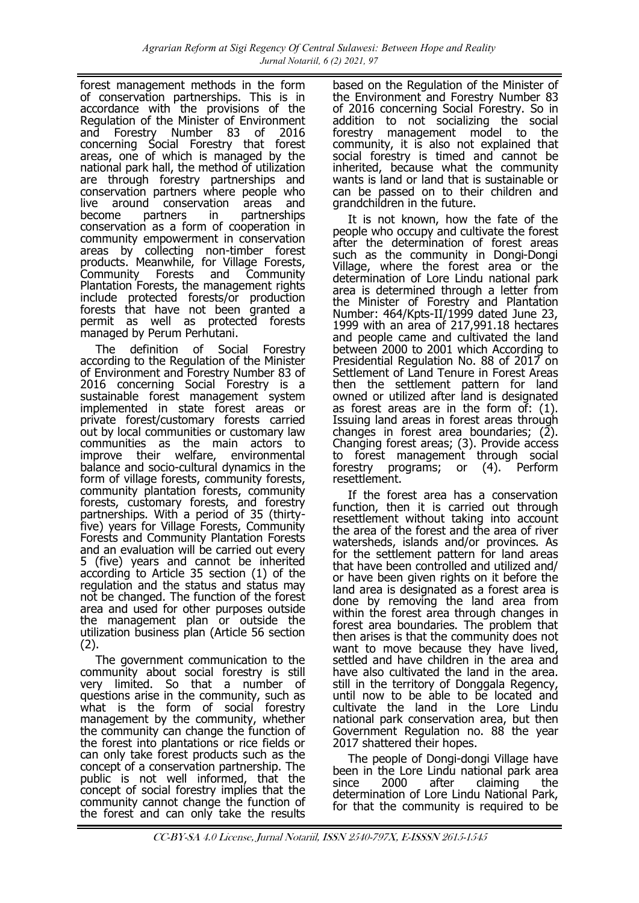forest management methods in the form of conservation partnerships. This is in accordance with the provisions of the Regulation of the Minister of Environment<br>and Forestry Number 83 of 2016 and Forestry Number 83 of 2016 concerning Social Forestry that forest areas, one of which is managed by the national park hall, the method of utilization are through forestry partnerships and conservation partners where people who live around conservation areas and become partners in partnerships conservation as a form of cooperation in community empowerment in conservation areas by collecting non-timber forest products. Meanwhile, for Village Forests, Community Forests and Community Plantation Forests, the management rights include protected forests/or production forests that have not been granted a permit as well as protected forests managed by Perum Perhutani.

The definition of Social Forestry according to the Regulation of the Minister of Environment and Forestry Number 83 of 2016 concerning Social Forestry is a sustainable forest management system implemented in state forest areas or private forest/customary forests carried out by local communities or customary law communities as the main actors to improve their welfare, environmental balance and socio-cultural dynamics in the form of village forests, community forests, community plantation forests, community forests, customary forests, and forestry partnerships. With a period of 35 (thirtyfive) years for Village Forests, Community Forests and Community Plantation Forests and an evaluation will be carried out every 5 (five) years and cannot be inherited according to Article 35 section (1) of the regulation and the status and status may not be changed. The function of the forest area and used for other purposes outside the management plan or outside the utilization business plan (Article 56 section (2).

The government communication to the community about social forestry is still very limited. So that a number of questions arise in the community, such as what is the form of social forestry management by the community, whether the community can change the function of the forest into plantations or rice fields or can only take forest products such as the concept of a conservation partnership. The public is not well informed, that the concept of social forestry implies that the community cannot change the function of the forest and can only take the results based on the Regulation of the Minister of the Environment and Forestry Number 83 of 2016 concerning Social Forestry. So in addition to not socializing the social forestry management model to the community, it is also not explained that social forestry is timed and cannot be inherited, because what the community wants is land or land that is sustainable or can be passed on to their children and grandchildren in the future.

It is not known, how the fate of the people who occupy and cultivate the forest after the determination of forest areas such as the community in Dongi-Dongi Village, where the forest area or the determination of Lore Lindu national park area is determined through a letter from the Minister of Forestry and Plantation Number: 464/Kpts-II/1999 dated June 23, 1999 with an area of 217,991.18 hectares and people came and cultivated the land between 2000 to 2001 which According to Presidential Regulation No. 88 of 2017 on Settlement of Land Tenure in Forest Areas then the settlement pattern for land owned or utilized after land is designated as forest areas are in the form of: (1). Issuing land areas in forest areas through changes in forest area boundaries;  $(2)$ . Changing forest areas; (3). Provide access to forest management through social forestry programs; or (4). Perform resettlement.

If the forest area has a conservation function, then it is carried out through resettlement without taking into account the area of the forest and the area of river watersheds, islands and/or provinces. As for the settlement pattern for land areas that have been controlled and utilized and/ or have been given rights on it before the land area is designated as a forest area is done by removing the land area from within the forest area through changes in forest area boundaries. The problem that then arises is that the community does not want to move because they have lived, settled and have children in the area and have also cultivated the land in the area. still in the territory of Donggala Regency, until now to be able to be located and cultivate the land in the Lore Lindu national park conservation area, but then Government Regulation no. 88 the year 2017 shattered their hopes.

The people of Dongi-dongi Village have been in the Lore Lindu national park area since 2000 after claiming the determination of Lore Lindu National Park, for that the community is required to be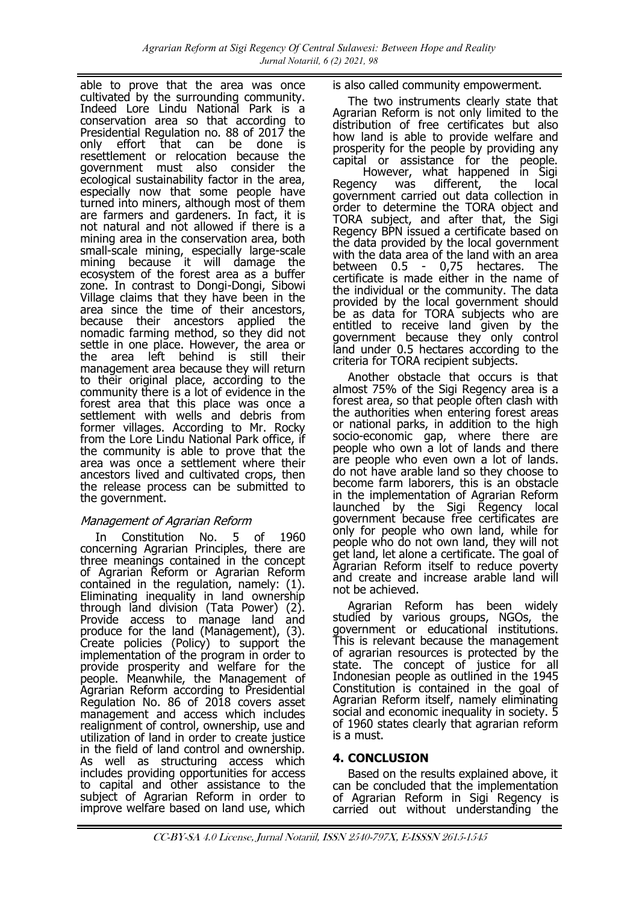able to prove that the area was once cultivated by the surrounding community. Indeed Lore Lindu National Park is a conservation area so that according to Presidential Regulation no. 88 of 2017 the only effort that can be done is resettlement or relocation because the government must also consider the ecological sustainability factor in the area, especially now that some people have turned into miners, although most of them are farmers and gardeners. In fact, it is not natural and not allowed if there is a mining area in the conservation area, both small-scale mining, especially large-scale mining because it will damage the ecosystem of the forest area as a buffer zone. In contrast to Dongi-Dongi, Sibowi Village claims that they have been in the area since the time of their ancestors, because their ancestors applied the nomadic farming method, so they did not settle in one place. However, the area or the area left behind is still their management area because they will return to their original place, according to the community there is a lot of evidence in the forest area that this place was once a settlement with wells and debris from former villages. According to Mr. Rocky from the Lore Lindu National Park office, if the community is able to prove that the area was once a settlement where their ancestors lived and cultivated crops, then the release process can be submitted to the government.

# Management of Agrarian Reform

In Constitution No. 5 of 1960 concerning Agrarian Principles, there are three meanings contained in the concept of Agrarian Reform or Agrarian Reform contained in the regulation, namely: (1). Eliminating inequality in land ownership through land division (Tata Power) (2). Provide access to manage land and produce for the land (Management), (3). Create policies (Policy) to support the implementation of the program in order to provide prosperity and welfare for the people. Meanwhile, the Management of Agrarian Reform according to Presidential Regulation No. 86 of 2018 covers asset management and access which includes realignment of control, ownership, use and utilization of land in order to create justice in the field of land control and ownership. As well as structuring access which includes providing opportunities for access to capital and other assistance to the subject of Agrarian Reform in order to improve welfare based on land use, which

is also called community empowerment.

The two instruments clearly state that Agrarian Reform is not only limited to the distribution of free certificates but also how land is able to provide welfare and prosperity for the people by providing any capital or assistance for the people. However, what happened in Sigi Regency was different, the local government carried out data collection in order to determine the TORA object and TORA subject, and after that, the Sigi Regency BPN issued a certificate based on the data provided by the local government with the data area of the land with an area<br>between  $0.5 - 0.75$  hectares. The - 0,75 hectares. The certificate is made either in the name of the individual or the community. The data provided by the local government should be as data for TORA subjects who are entitled to receive land given by the government because they only control land under 0.5 hectares according to the criteria for TORA recipient subjects.

Another obstacle that occurs is that almost 75% of the Sigi Regency area is a forest area, so that people often clash with the authorities when entering forest areas or national parks, in addition to the high socio-economic gap, where there are people who own a lot of lands and there are people who even own a lot of lands. do not have arable land so they choose to become farm laborers, this is an obstacle in the implementation of Agrarian Reform launched by the Sigi Regency local government because free certificates are only for people who own land, while for people who do not own land, they will not get land, let alone a certificate. The goal of Agrarian Reform itself to reduce poverty and create and increase arable land will not be achieved.

Agrarian Reform has been widely studied by various groups, NGOs, the government or educational institutions. This is relevant because the management of agrarian resources is protected by the state. The concept of justice for all Indonesian people as outlined in the 1945 Constitution is contained in the goal of Agrarian Reform itself, namely eliminating social and economic inequality in society. 5 of 1960 states clearly that agrarian reform is a must.

# **4. CONCLUSION**

Based on the results explained above, it can be concluded that the implementation of Agrarian Reform in Sigi Regency is carried out without understanding the